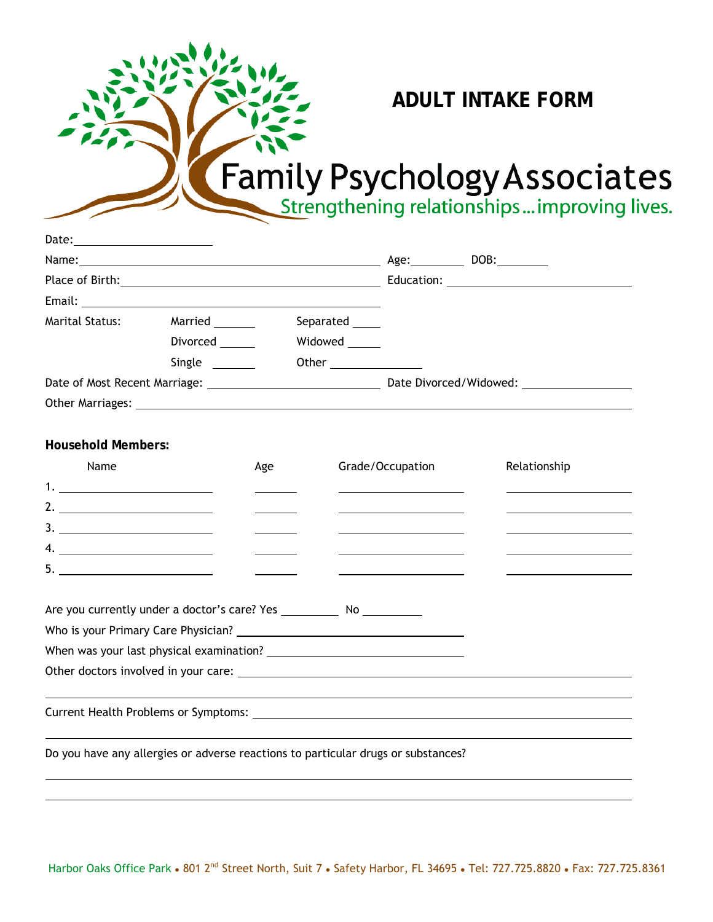## **ADULT INTAKE FORM**

## Family Psychology Associates

| Date: _________________________                                                                                |                 |     |                 |                  |              |
|----------------------------------------------------------------------------------------------------------------|-----------------|-----|-----------------|------------------|--------------|
|                                                                                                                |                 |     |                 |                  |              |
|                                                                                                                |                 |     |                 |                  |              |
|                                                                                                                |                 |     |                 |                  |              |
| Marital Status:                                                                                                | Married         |     | Separated _____ |                  |              |
|                                                                                                                | Divorced ______ |     | Widowed ______  |                  |              |
|                                                                                                                | Single ________ |     |                 |                  |              |
|                                                                                                                |                 |     |                 |                  |              |
| Other Marriages: University of the Contract of the Contract of the Contract of the Contract of the Contract of |                 |     |                 |                  |              |
|                                                                                                                |                 |     |                 |                  |              |
| <b>Household Members:</b>                                                                                      |                 |     |                 |                  |              |
| Name                                                                                                           |                 | Age |                 | Grade/Occupation | Relationship |
|                                                                                                                |                 |     |                 |                  |              |
|                                                                                                                |                 |     |                 |                  |              |
|                                                                                                                |                 |     |                 |                  |              |
|                                                                                                                |                 |     |                 |                  |              |
| 5. $\qquad \qquad$                                                                                             |                 |     |                 |                  |              |
|                                                                                                                |                 |     |                 |                  |              |
| Are you currently under a doctor's care? Yes _____________ No ___________                                      |                 |     |                 |                  |              |
|                                                                                                                |                 |     |                 |                  |              |
| When was your last physical examination?                                                                       |                 |     |                 |                  |              |
|                                                                                                                |                 |     |                 |                  |              |
|                                                                                                                |                 |     |                 |                  |              |
|                                                                                                                |                 |     |                 |                  |              |
|                                                                                                                |                 |     |                 |                  |              |
| Do you have any allergies or adverse reactions to particular drugs or substances?                              |                 |     |                 |                  |              |
|                                                                                                                |                 |     |                 |                  |              |

 $\overline{a}$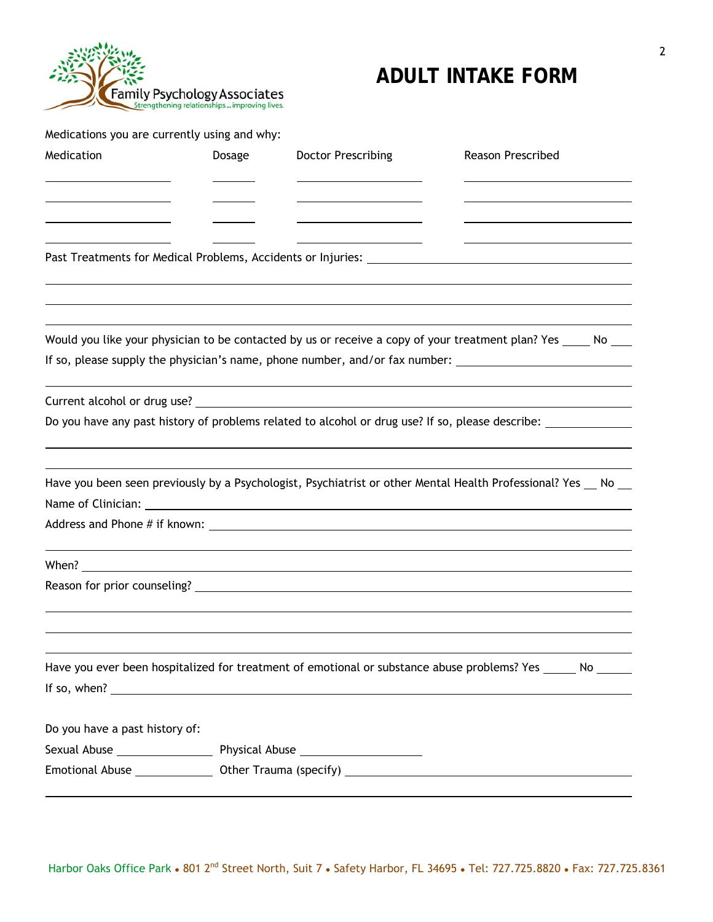

## **ADULT INTAKE FORM**

Medications you are currently using and why:

 $\overline{a}$ 

| Medication                                         | Dosage | <b>Doctor Prescribing</b>                                                                                                                                                                                                                                                                                             | Reason Prescribed |  |  |
|----------------------------------------------------|--------|-----------------------------------------------------------------------------------------------------------------------------------------------------------------------------------------------------------------------------------------------------------------------------------------------------------------------|-------------------|--|--|
| <u> 1989 - Johann Barn, amerikansk politiker (</u> |        | <u> 1989 - Johann Barn, mars ann an t-Amhair ann an t-Amhair an t-Amhair ann an t-Amhair an t-Amhair ann an t-A</u>                                                                                                                                                                                                   |                   |  |  |
|                                                    |        |                                                                                                                                                                                                                                                                                                                       |                   |  |  |
|                                                    |        |                                                                                                                                                                                                                                                                                                                       |                   |  |  |
|                                                    |        | Would you like your physician to be contacted by us or receive a copy of your treatment plan? Yes _____ No ___<br>If so, please supply the physician's name, phone number, and/or fax number: _________________________________                                                                                       |                   |  |  |
|                                                    |        |                                                                                                                                                                                                                                                                                                                       |                   |  |  |
|                                                    |        | Do you have any past history of problems related to alcohol or drug use? If so, please describe: ____________                                                                                                                                                                                                         |                   |  |  |
|                                                    |        | Have you been seen previously by a Psychologist, Psychiatrist or other Mental Health Professional? Yes No                                                                                                                                                                                                             |                   |  |  |
|                                                    |        |                                                                                                                                                                                                                                                                                                                       |                   |  |  |
|                                                    |        | When? $\frac{1}{2}$ $\frac{1}{2}$ $\frac{1}{2}$ $\frac{1}{2}$ $\frac{1}{2}$ $\frac{1}{2}$ $\frac{1}{2}$ $\frac{1}{2}$ $\frac{1}{2}$ $\frac{1}{2}$ $\frac{1}{2}$ $\frac{1}{2}$ $\frac{1}{2}$ $\frac{1}{2}$ $\frac{1}{2}$ $\frac{1}{2}$ $\frac{1}{2}$ $\frac{1}{2}$ $\frac{1}{2}$ $\frac{1}{2}$ $\frac{1}{2}$ $\frac{1$ |                   |  |  |
|                                                    |        |                                                                                                                                                                                                                                                                                                                       |                   |  |  |
|                                                    |        |                                                                                                                                                                                                                                                                                                                       |                   |  |  |
|                                                    |        | Have you ever been hospitalized for treatment of emotional or substance abuse problems? Yes ______ No _____                                                                                                                                                                                                           |                   |  |  |
|                                                    |        |                                                                                                                                                                                                                                                                                                                       |                   |  |  |
| Do you have a past history of:                     |        |                                                                                                                                                                                                                                                                                                                       |                   |  |  |
|                                                    |        |                                                                                                                                                                                                                                                                                                                       |                   |  |  |
|                                                    |        |                                                                                                                                                                                                                                                                                                                       |                   |  |  |